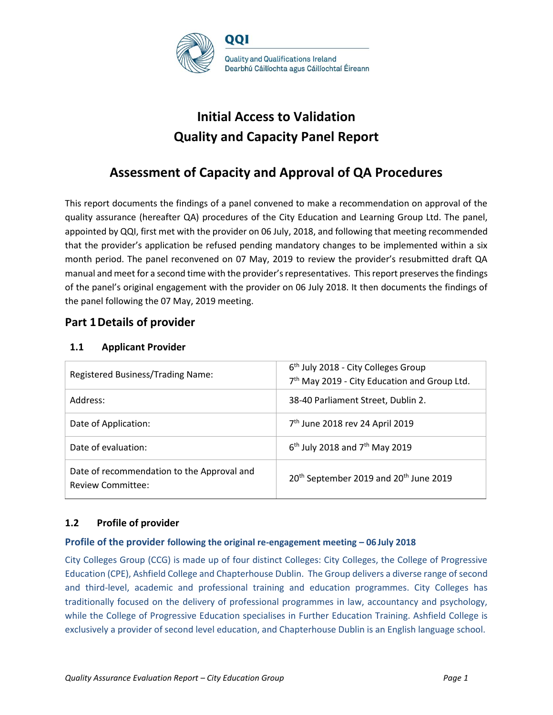

# **Initial Access to Validation Quality and Capacity Panel Report**

# **Assessment of Capacity and Approval of QA Procedures**

This report documents the findings of a panel convened to make a recommendation on approval of the quality assurance (hereafter QA) procedures of the City Education and Learning Group Ltd. The panel, appointed by QQI, first met with the provider on 06 July, 2018, and following that meeting recommended that the provider's application be refused pending mandatory changes to be implemented within a six month period. The panel reconvened on 07 May, 2019 to review the provider's resubmitted draft QA manual and meet for a second time with the provider's representatives. This report preserves the findings of the panel's original engagement with the provider on 06 July 2018. It then documents the findings of the panel following the 07 May, 2019 meeting.

# **Part 1Details of provider**

# **1.1 Applicant Provider**

| Registered Business/Trading Name:                                      | 6 <sup>th</sup> July 2018 - City Colleges Group<br>7 <sup>th</sup> May 2019 - City Education and Group Ltd. |
|------------------------------------------------------------------------|-------------------------------------------------------------------------------------------------------------|
| Address:                                                               | 38-40 Parliament Street, Dublin 2.                                                                          |
| Date of Application:                                                   | 7 <sup>th</sup> June 2018 rev 24 April 2019                                                                 |
| Date of evaluation:                                                    | $6th$ July 2018 and 7 <sup>th</sup> May 2019                                                                |
| Date of recommendation to the Approval and<br><b>Review Committee:</b> | 20 <sup>th</sup> September 2019 and 20 <sup>th</sup> June 2019                                              |

# **1.2 Profile of provider**

# **Profile of the provider following the original re-engagement meeting – 06 July 2018**

City Colleges Group (CCG) is made up of four distinct Colleges: City Colleges, the College of Progressive Education (CPE), Ashfield College and Chapterhouse Dublin. The Group delivers a diverse range of second and third-level, academic and professional training and education programmes. City Colleges has traditionally focused on the delivery of professional programmes in law, accountancy and psychology, while the College of Progressive Education specialises in Further Education Training. Ashfield College is exclusively a provider of second level education, and Chapterhouse Dublin is an English language school.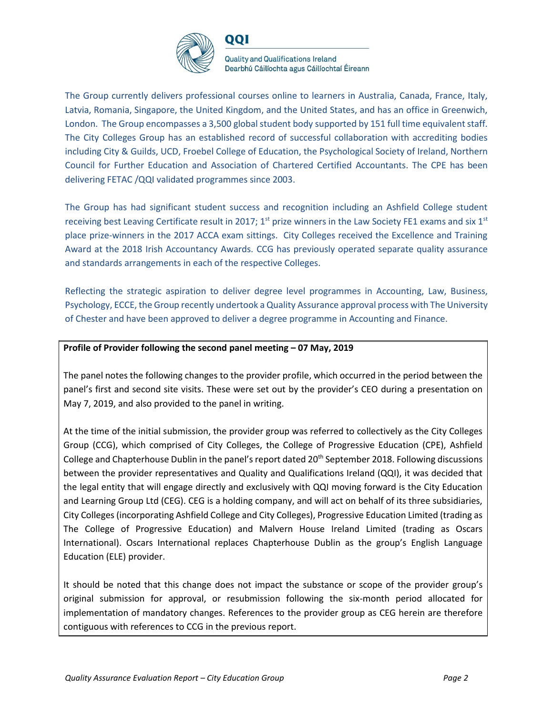

001

**Quality and Qualifications Ireland** Dearbhú Cáilíochta agus Cáilíochtaí Éireann

The Group currently delivers professional courses online to learners in Australia, Canada, France, Italy, Latvia, Romania, Singapore, the United Kingdom, and the United States, and has an office in Greenwich, London. The Group encompasses a 3,500 global student body supported by 151 full time equivalent staff. The City Colleges Group has an established record of successful collaboration with accrediting bodies including City & Guilds, UCD, Froebel College of Education, the Psychological Society of Ireland, Northern Council for Further Education and Association of Chartered Certified Accountants. The CPE has been delivering FETAC /QQI validated programmes since 2003.

The Group has had significant student success and recognition including an Ashfield College student receiving best Leaving Certificate result in 2017;  $1<sup>st</sup>$  prize winners in the Law Society FE1 exams and six  $1<sup>st</sup>$ place prize-winners in the 2017 ACCA exam sittings. City Colleges received the Excellence and Training Award at the 2018 Irish Accountancy Awards. CCG has previously operated separate quality assurance and standards arrangements in each of the respective Colleges.

Reflecting the strategic aspiration to deliver degree level programmes in Accounting, Law, Business, Psychology, ECCE, the Group recently undertook a Quality Assurance approval process with The University of Chester and have been approved to deliver a degree programme in Accounting and Finance.

# **Profile of Provider following the second panel meeting – 07 May, 2019**

The panel notes the following changes to the provider profile, which occurred in the period between the panel's first and second site visits. These were set out by the provider's CEO during a presentation on May 7, 2019, and also provided to the panel in writing.

At the time of the initial submission, the provider group was referred to collectively as the City Colleges Group (CCG), which comprised of City Colleges, the College of Progressive Education (CPE), Ashfield College and Chapterhouse Dublin in the panel's report dated 20<sup>th</sup> September 2018. Following discussions between the provider representatives and Quality and Qualifications Ireland (QQI), it was decided that the legal entity that will engage directly and exclusively with QQI moving forward is the City Education and Learning Group Ltd (CEG). CEG is a holding company, and will act on behalf of its three subsidiaries, City Colleges (incorporating Ashfield College and City Colleges), Progressive Education Limited (trading as The College of Progressive Education) and Malvern House Ireland Limited (trading as Oscars International). Oscars International replaces Chapterhouse Dublin as the group's English Language Education (ELE) provider.

It should be noted that this change does not impact the substance or scope of the provider group's original submission for approval, or resubmission following the six-month period allocated for implementation of mandatory changes. References to the provider group as CEG herein are therefore contiguous with references to CCG in the previous report.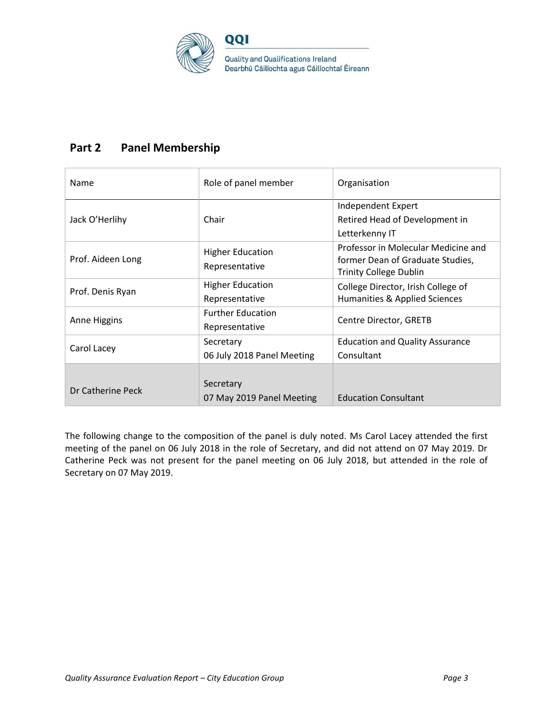

# **Part 2 Panel Membership**

| Name              | Role of panel member                       | Organisation                                                                                             |
|-------------------|--------------------------------------------|----------------------------------------------------------------------------------------------------------|
| Jack O'Herlihy    | Chair                                      | Independent Expert<br>Retired Head of Development in<br>Letterkenny IT                                   |
| Prof. Aideen Long | <b>Higher Education</b><br>Representative  | Professor in Molecular Medicine and<br>former Dean of Graduate Studies,<br><b>Trinity College Dublin</b> |
| Prof. Denis Ryan  | <b>Higher Education</b><br>Representative  | College Director, Irish College of<br>Humanities & Applied Sciences                                      |
| Anne Higgins      | <b>Further Education</b><br>Representative | Centre Director, GRETB                                                                                   |
| Carol Lacey       | Secretary<br>06 July 2018 Panel Meeting    | <b>Education and Quality Assurance</b><br>Consultant                                                     |
| Dr Catherine Peck | Secretary<br>07 May 2019 Panel Meeting     | <b>Education Consultant</b>                                                                              |

The following change to the composition of the panel is duly noted. Ms Carol Lacey attended the first meeting of the panel on 06 July 2018 in the role of Secretary, and did not attend on 07 May 2019. Dr Catherine Peck was not present for the panel meeting on 06 July 2018, but attended in the role of Secretary on 07 May 2019.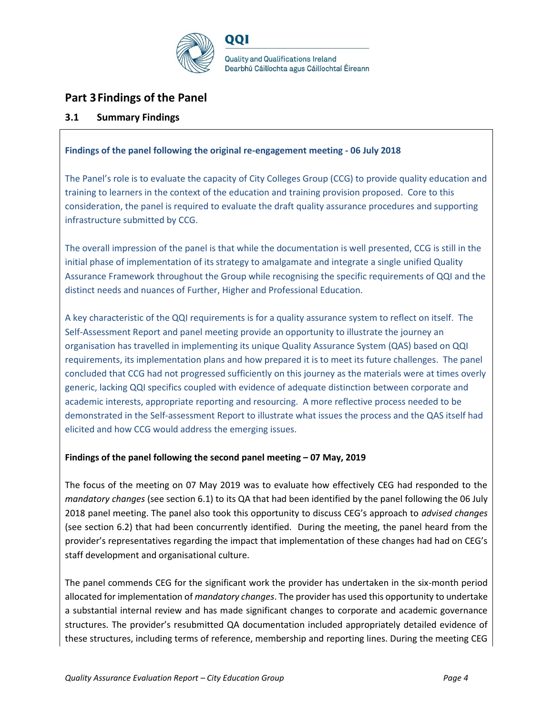

# **Part 3Findings of the Panel**

# **3.1 Summary Findings**

# **Findings of the panel following the original re-engagement meeting - 06 July 2018**

The Panel's role is to evaluate the capacity of City Colleges Group (CCG) to provide quality education and training to learners in the context of the education and training provision proposed. Core to this consideration, the panel is required to evaluate the draft quality assurance procedures and supporting infrastructure submitted by CCG.

The overall impression of the panel is that while the documentation is well presented, CCG is still in the initial phase of implementation of its strategy to amalgamate and integrate a single unified Quality Assurance Framework throughout the Group while recognising the specific requirements of QQI and the distinct needs and nuances of Further, Higher and Professional Education.

A key characteristic of the QQI requirements is for a quality assurance system to reflect on itself. The Self-Assessment Report and panel meeting provide an opportunity to illustrate the journey an organisation has travelled in implementing its unique Quality Assurance System (QAS) based on QQI requirements, its implementation plans and how prepared it is to meet its future challenges. The panel concluded that CCG had not progressed sufficiently on this journey as the materials were at times overly generic, lacking QQI specifics coupled with evidence of adequate distinction between corporate and academic interests, appropriate reporting and resourcing. A more reflective process needed to be demonstrated in the Self-assessment Report to illustrate what issues the process and the QAS itself had elicited and how CCG would address the emerging issues.

# **Findings of the panel following the second panel meeting – 07 May, 2019**

The focus of the meeting on 07 May 2019 was to evaluate how effectively CEG had responded to the *mandatory changes* (see section 6.1) to its QA that had been identified by the panel following the 06 July 2018 panel meeting. The panel also took this opportunity to discuss CEG's approach to *advised changes* (see section 6.2) that had been concurrently identified. During the meeting, the panel heard from the provider's representatives regarding the impact that implementation of these changes had had on CEG's staff development and organisational culture.

The panel commends CEG for the significant work the provider has undertaken in the six-month period allocated for implementation of *mandatory changes*. The provider has used this opportunity to undertake a substantial internal review and has made significant changes to corporate and academic governance structures. The provider's resubmitted QA documentation included appropriately detailed evidence of these structures, including terms of reference, membership and reporting lines. During the meeting CEG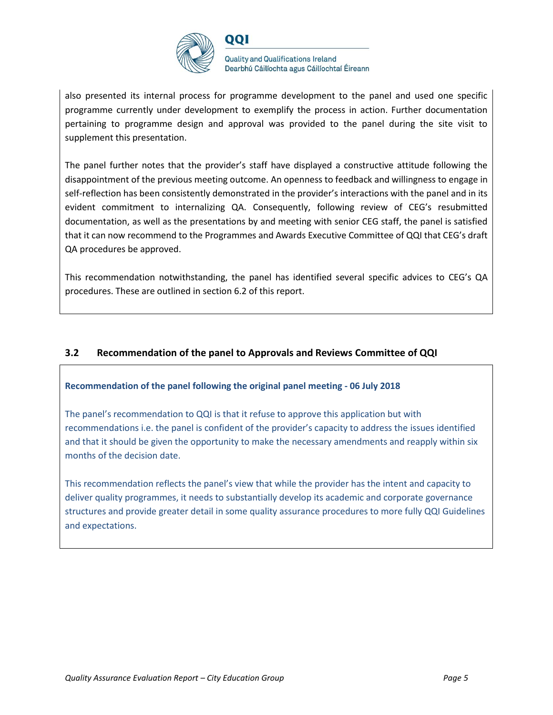

001

**Quality and Qualifications Ireland** Dearbhú Cáilíochta agus Cáilíochtaí Éireann

also presented its internal process for programme development to the panel and used one specific programme currently under development to exemplify the process in action. Further documentation pertaining to programme design and approval was provided to the panel during the site visit to supplement this presentation.

The panel further notes that the provider's staff have displayed a constructive attitude following the disappointment of the previous meeting outcome. An openness to feedback and willingness to engage in self-reflection has been consistently demonstrated in the provider's interactions with the panel and in its evident commitment to internalizing QA. Consequently, following review of CEG's resubmitted documentation, as well as the presentations by and meeting with senior CEG staff, the panel is satisfied that it can now recommend to the Programmes and Awards Executive Committee of QQI that CEG's draft QA procedures be approved.

This recommendation notwithstanding, the panel has identified several specific advices to CEG's QA procedures. These are outlined in section 6.2 of this report.

# **3.2 Recommendation of the panel to Approvals and Reviews Committee of QQI**

# **Recommendation of the panel following the original panel meeting - 06 July 2018**

The panel's recommendation to QQI is that it refuse to approve this application but with recommendations i.e. the panel is confident of the provider's capacity to address the issues identified and that it should be given the opportunity to make the necessary amendments and reapply within six months of the decision date.

This recommendation reflects the panel's view that while the provider has the intent and capacity to deliver quality programmes, it needs to substantially develop its academic and corporate governance structures and provide greater detail in some quality assurance procedures to more fully QQI Guidelines and expectations.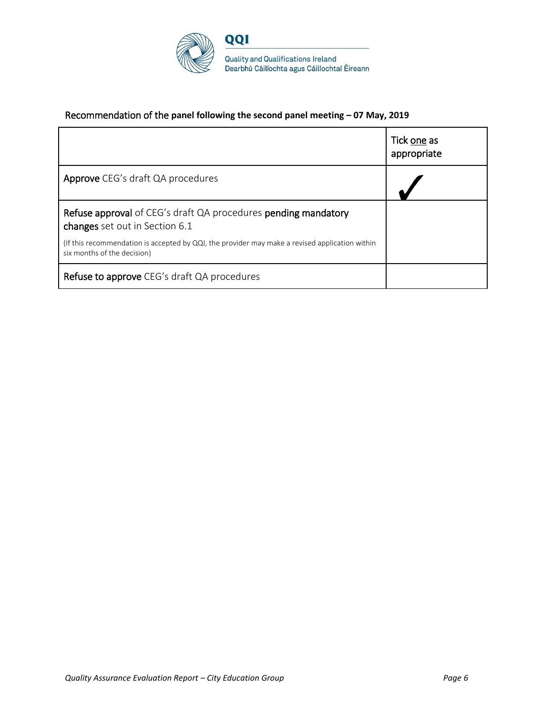

# Recommendation of the **panel following the second panel meeting – 07 May, 2019**

|                                                                                                                               | Tick one as<br>appropriate |
|-------------------------------------------------------------------------------------------------------------------------------|----------------------------|
| Approve CEG's draft QA procedures                                                                                             |                            |
| Refuse approval of CEG's draft QA procedures pending mandatory<br>changes set out in Section 6.1                              |                            |
| (If this recommendation is accepted by QQI, the provider may make a revised application within<br>six months of the decision) |                            |
| Refuse to approve CEG's draft QA procedures                                                                                   |                            |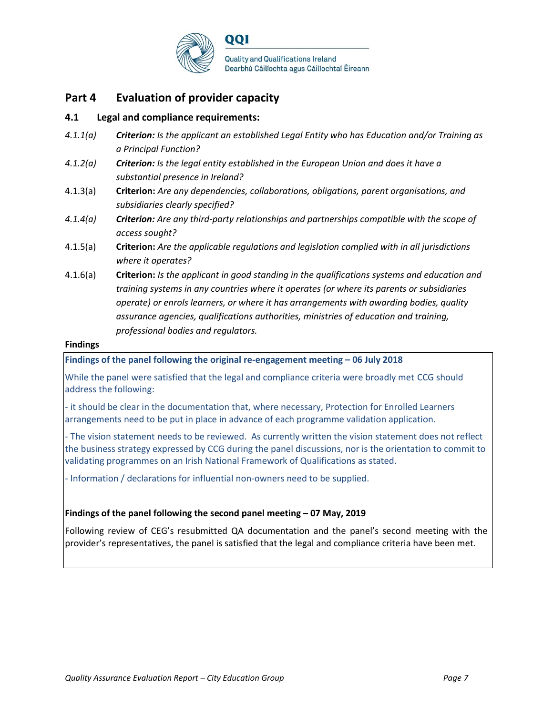

# **Part 4 Evaluation of provider capacity**

# **4.1 Legal and compliance requirements:**

- *4.1.1(a) Criterion: Is the applicant an established Legal Entity who has Education and/or Training as a Principal Function?*
- *4.1.2(a) Criterion: Is the legal entity established in the European Union and does it have a substantial presence in Ireland?*
- 4.1.3(a) **Criterion:** *Are any dependencies, collaborations, obligations, parent organisations, and subsidiaries clearly specified?*
- *4.1.4(a) Criterion: Are any third-party relationships and partnerships compatible with the scope of access sought?*
- 4.1.5(a) **Criterion:** *Are the applicable regulations and legislation complied with in all jurisdictions where it operates?*
- 4.1.6(a) **Criterion:** *Is the applicant in good standing in the qualifications systems and education and training systems in any countries where it operates (or where its parents or subsidiaries operate) or enrols learners, or where it has arrangements with awarding bodies, quality assurance agencies, qualifications authorities, ministries of education and training, professional bodies and regulators.*

#### **Findings**

**Findings of the panel following the original re-engagement meeting – 06 July 2018**

While the panel were satisfied that the legal and compliance criteria were broadly met CCG should address the following:

- it should be clear in the documentation that, where necessary, Protection for Enrolled Learners arrangements need to be put in place in advance of each programme validation application.

- The vision statement needs to be reviewed. As currently written the vision statement does not reflect the business strategy expressed by CCG during the panel discussions, nor is the orientation to commit to validating programmes on an Irish National Framework of Qualifications as stated.

- Information / declarations for influential non-owners need to be supplied.

# **Findings of the panel following the second panel meeting – 07 May, 2019**

Following review of CEG's resubmitted QA documentation and the panel's second meeting with the provider's representatives, the panel is satisfied that the legal and compliance criteria have been met.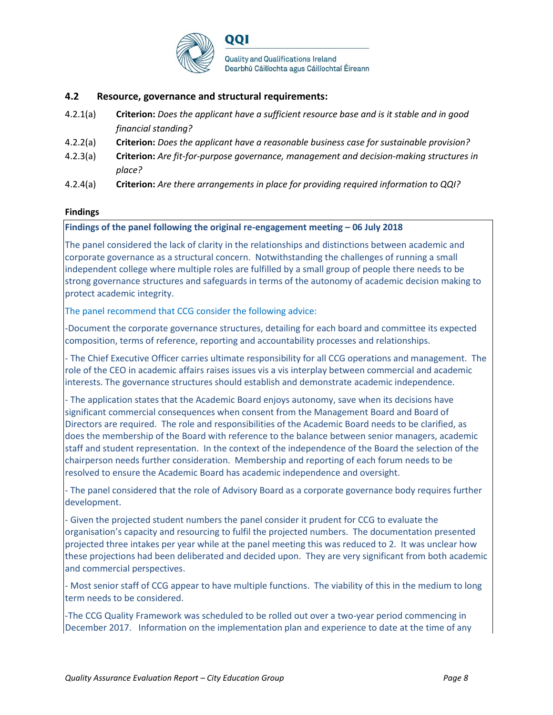

# **4.2 Resource, governance and structural requirements:**

- 4.2.1(a) **Criterion:** *Does the applicant have a sufficient resource base and is it stable and in good financial standing?*
- 4.2.2(a) **Criterion:** *Does the applicant have a reasonable business case for sustainable provision?*
- 4.2.3(a) **Criterion:** *Are fit-for-purpose governance, management and decision-making structures in place?*
- 4.2.4(a) **Criterion:** *Are there arrangements in place for providing required information to QQI?*

#### **Findings**

#### **Findings of the panel following the original re-engagement meeting – 06 July 2018**

The panel considered the lack of clarity in the relationships and distinctions between academic and corporate governance as a structural concern. Notwithstanding the challenges of running a small independent college where multiple roles are fulfilled by a small group of people there needs to be strong governance structures and safeguards in terms of the autonomy of academic decision making to protect academic integrity.

The panel recommend that CCG consider the following advice:

-Document the corporate governance structures, detailing for each board and committee its expected composition, terms of reference, reporting and accountability processes and relationships.

- The Chief Executive Officer carries ultimate responsibility for all CCG operations and management. The role of the CEO in academic affairs raises issues vis a vis interplay between commercial and academic interests. The governance structures should establish and demonstrate academic independence.

- The application states that the Academic Board enjoys autonomy, save when its decisions have significant commercial consequences when consent from the Management Board and Board of Directors are required. The role and responsibilities of the Academic Board needs to be clarified, as does the membership of the Board with reference to the balance between senior managers, academic staff and student representation. In the context of the independence of the Board the selection of the chairperson needs further consideration. Membership and reporting of each forum needs to be resolved to ensure the Academic Board has academic independence and oversight.

- The panel considered that the role of Advisory Board as a corporate governance body requires further development.

- Given the projected student numbers the panel consider it prudent for CCG to evaluate the organisation's capacity and resourcing to fulfil the projected numbers. The documentation presented projected three intakes per year while at the panel meeting this was reduced to 2. It was unclear how these projections had been deliberated and decided upon. They are very significant from both academic and commercial perspectives.

- Most senior staff of CCG appear to have multiple functions. The viability of this in the medium to long term needs to be considered.

-The CCG Quality Framework was scheduled to be rolled out over a two-year period commencing in December 2017. Information on the implementation plan and experience to date at the time of any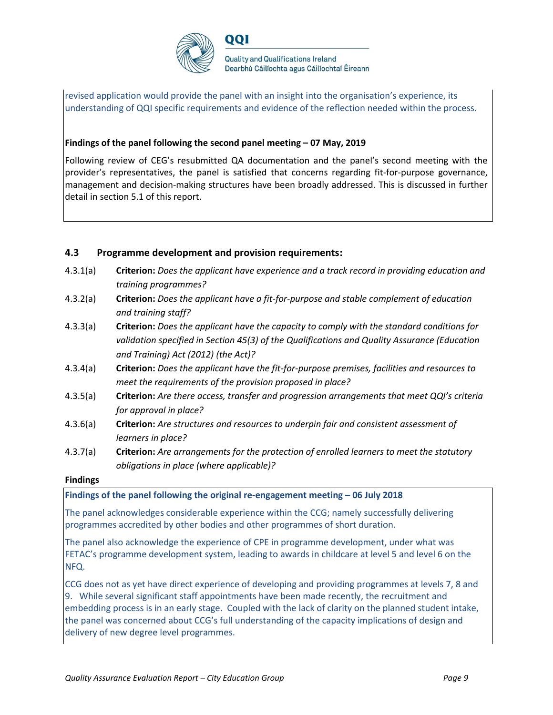

revised application would provide the panel with an insight into the organisation's experience, its understanding of QQI specific requirements and evidence of the reflection needed within the process.

#### **Findings of the panel following the second panel meeting – 07 May, 2019**

001

Following review of CEG's resubmitted QA documentation and the panel's second meeting with the provider's representatives, the panel is satisfied that concerns regarding fit-for-purpose governance, management and decision-making structures have been broadly addressed. This is discussed in further detail in section 5.1 of this report.

# **4.3 Programme development and provision requirements:**

- 4.3.1(a) **Criterion:** *Does the applicant have experience and a track record in providing education and training programmes?*
- 4.3.2(a) **Criterion:** *Does the applicant have a fit-for-purpose and stable complement of education and training staff?*
- 4.3.3(a) **Criterion:** *Does the applicant have the capacity to comply with the standard conditions for validation specified in Section 45(3) of the Qualifications and Quality Assurance (Education and Training) Act (2012) (the Act)?*
- 4.3.4(a) **Criterion:** *Does the applicant have the fit-for-purpose premises, facilities and resources to meet the requirements of the provision proposed in place?*
- 4.3.5(a) **Criterion:** *Are there access, transfer and progression arrangements that meet QQI's criteria for approval in place?*
- 4.3.6(a) **Criterion:** *Are structures and resources to underpin fair and consistent assessment of learners in place?*
- 4.3.7(a) **Criterion:** *Are arrangements for the protection of enrolled learners to meet the statutory obligations in place (where applicable)?*

#### **Findings**

#### **Findings of the panel following the original re-engagement meeting – 06 July 2018**

The panel acknowledges considerable experience within the CCG; namely successfully delivering programmes accredited by other bodies and other programmes of short duration.

The panel also acknowledge the experience of CPE in programme development, under what was FETAC's programme development system, leading to awards in childcare at level 5 and level 6 on the NFQ.

CCG does not as yet have direct experience of developing and providing programmes at levels 7, 8 and 9. While several significant staff appointments have been made recently, the recruitment and embedding process is in an early stage. Coupled with the lack of clarity on the planned student intake, the panel was concerned about CCG's full understanding of the capacity implications of design and delivery of new degree level programmes.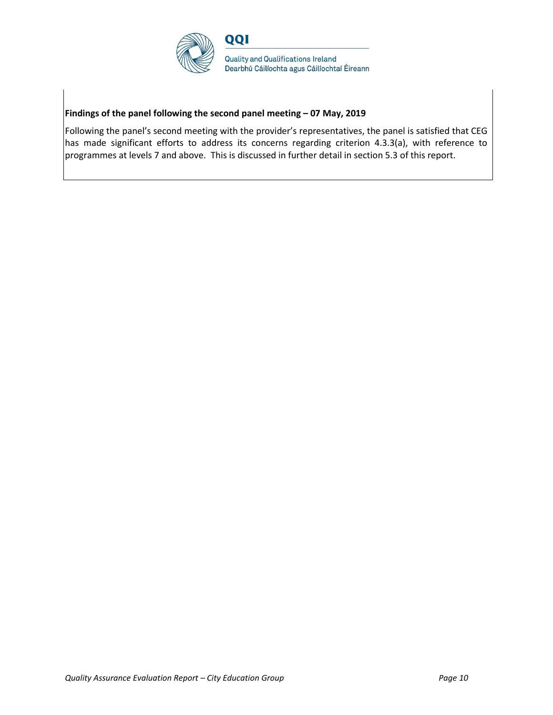

# **Findings of the panel following the second panel meeting – 07 May, 2019**

Following the panel's second meeting with the provider's representatives, the panel is satisfied that CEG has made significant efforts to address its concerns regarding criterion 4.3.3(a), with reference to programmes at levels 7 and above. This is discussed in further detail in section 5.3 of this report.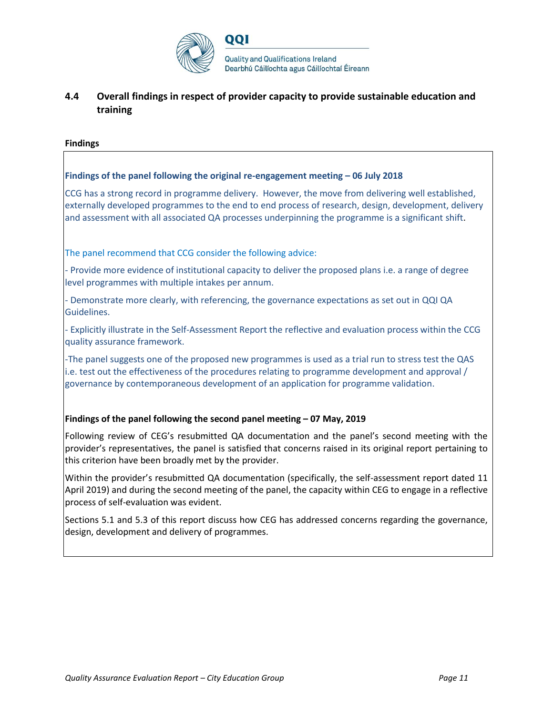

# **4.4 Overall findings in respect of provider capacity to provide sustainable education and training**

### **Findings**

# **Findings of the panel following the original re-engagement meeting – 06 July 2018**

CCG has a strong record in programme delivery. However, the move from delivering well established, externally developed programmes to the end to end process of research, design, development, delivery and assessment with all associated QA processes underpinning the programme is a significant shift.

The panel recommend that CCG consider the following advice:

- Provide more evidence of institutional capacity to deliver the proposed plans i.e. a range of degree level programmes with multiple intakes per annum.

- Demonstrate more clearly, with referencing, the governance expectations as set out in QQI QA Guidelines.

- Explicitly illustrate in the Self-Assessment Report the reflective and evaluation process within the CCG quality assurance framework.

-The panel suggests one of the proposed new programmes is used as a trial run to stress test the QAS i.e. test out the effectiveness of the procedures relating to programme development and approval / governance by contemporaneous development of an application for programme validation.

# **Findings of the panel following the second panel meeting – 07 May, 2019**

Following review of CEG's resubmitted QA documentation and the panel's second meeting with the provider's representatives, the panel is satisfied that concerns raised in its original report pertaining to this criterion have been broadly met by the provider.

Within the provider's resubmitted QA documentation (specifically, the self-assessment report dated 11 April 2019) and during the second meeting of the panel, the capacity within CEG to engage in a reflective process of self-evaluation was evident.

Sections 5.1 and 5.3 of this report discuss how CEG has addressed concerns regarding the governance, design, development and delivery of programmes.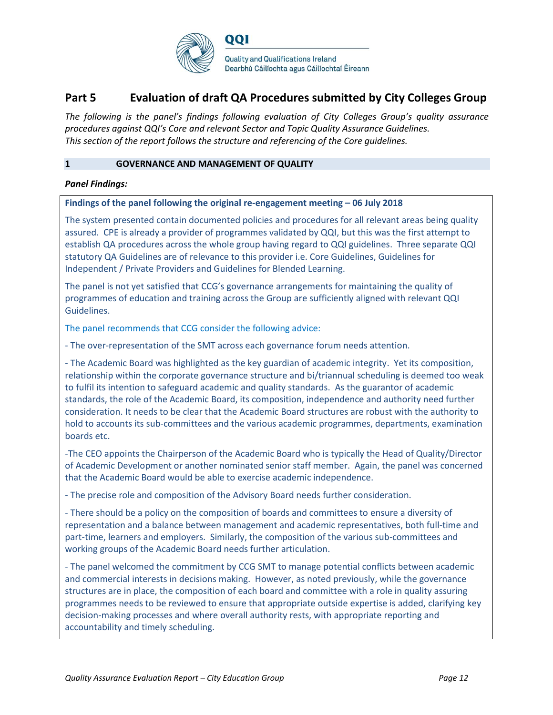

# **Part 5 Evaluation of draft QA Procedures submitted by City Colleges Group**

*The following is the panel's findings following evaluation of City Colleges Group's quality assurance procedures against QQI's Core and relevant Sector and Topic Quality Assurance Guidelines. This section of the report follows the structure and referencing of the Core guidelines.* 

#### **1 GOVERNANCE AND MANAGEMENT OF QUALITY**

### *Panel Findings:*

#### **Findings of the panel following the original re-engagement meeting – 06 July 2018**

The system presented contain documented policies and procedures for all relevant areas being quality assured. CPE is already a provider of programmes validated by QQI, but this was the first attempt to establish QA procedures across the whole group having regard to QQI guidelines. Three separate QQI statutory QA Guidelines are of relevance to this provider i.e. Core Guidelines, Guidelines for Independent / Private Providers and Guidelines for Blended Learning.

The panel is not yet satisfied that CCG's governance arrangements for maintaining the quality of programmes of education and training across the Group are sufficiently aligned with relevant QQI Guidelines.

The panel recommends that CCG consider the following advice:

- The over-representation of the SMT across each governance forum needs attention.

- The Academic Board was highlighted as the key guardian of academic integrity. Yet its composition, relationship within the corporate governance structure and bi/triannual scheduling is deemed too weak to fulfil its intention to safeguard academic and quality standards. As the guarantor of academic standards, the role of the Academic Board, its composition, independence and authority need further consideration. It needs to be clear that the Academic Board structures are robust with the authority to hold to accounts its sub-committees and the various academic programmes, departments, examination boards etc.

-The CEO appoints the Chairperson of the Academic Board who is typically the Head of Quality/Director of Academic Development or another nominated senior staff member. Again, the panel was concerned that the Academic Board would be able to exercise academic independence.

- The precise role and composition of the Advisory Board needs further consideration.

- There should be a policy on the composition of boards and committees to ensure a diversity of representation and a balance between management and academic representatives, both full-time and part-time, learners and employers. Similarly, the composition of the various sub-committees and working groups of the Academic Board needs further articulation.

- The panel welcomed the commitment by CCG SMT to manage potential conflicts between academic and commercial interests in decisions making. However, as noted previously, while the governance structures are in place, the composition of each board and committee with a role in quality assuring programmes needs to be reviewed to ensure that appropriate outside expertise is added, clarifying key decision-making processes and where overall authority rests, with appropriate reporting and accountability and timely scheduling.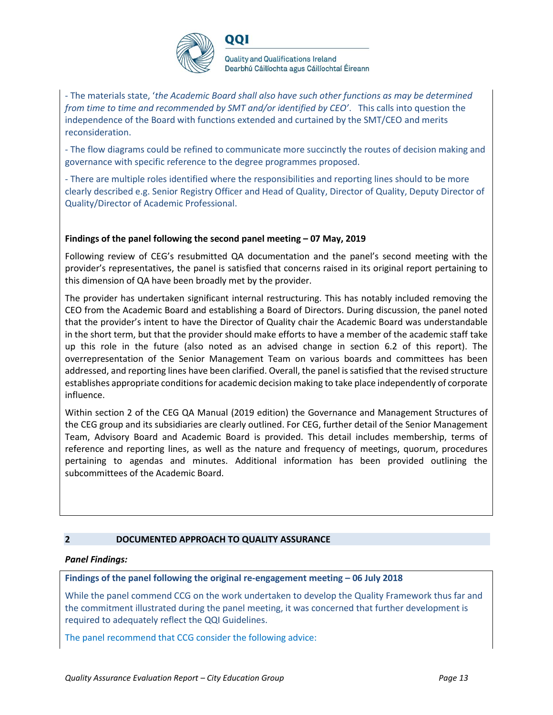

001

**Quality and Qualifications Ireland** Dearbhú Cáilíochta agus Cáilíochtaí Éireann

- The materials state, '*the Academic Board shall also have such other functions as may be determined from time to time and recommended by SMT and/or identified by CEO'*. This calls into question the independence of the Board with functions extended and curtained by the SMT/CEO and merits reconsideration.

- The flow diagrams could be refined to communicate more succinctly the routes of decision making and governance with specific reference to the degree programmes proposed.

- There are multiple roles identified where the responsibilities and reporting lines should to be more clearly described e.g. Senior Registry Officer and Head of Quality, Director of Quality, Deputy Director of Quality/Director of Academic Professional.

# **Findings of the panel following the second panel meeting – 07 May, 2019**

Following review of CEG's resubmitted QA documentation and the panel's second meeting with the provider's representatives, the panel is satisfied that concerns raised in its original report pertaining to this dimension of QA have been broadly met by the provider.

The provider has undertaken significant internal restructuring. This has notably included removing the CEO from the Academic Board and establishing a Board of Directors. During discussion, the panel noted that the provider's intent to have the Director of Quality chair the Academic Board was understandable in the short term, but that the provider should make efforts to have a member of the academic staff take up this role in the future (also noted as an advised change in section 6.2 of this report). The overrepresentation of the Senior Management Team on various boards and committees has been addressed, and reporting lines have been clarified. Overall, the panel is satisfied that the revised structure establishes appropriate conditions for academic decision making to take place independently of corporate influence.

Within section 2 of the CEG QA Manual (2019 edition) the Governance and Management Structures of the CEG group and its subsidiaries are clearly outlined. For CEG, further detail of the Senior Management Team, Advisory Board and Academic Board is provided. This detail includes membership, terms of reference and reporting lines, as well as the nature and frequency of meetings, quorum, procedures pertaining to agendas and minutes. Additional information has been provided outlining the subcommittees of the Academic Board.

# **2 DOCUMENTED APPROACH TO QUALITY ASSURANCE**

# *Panel Findings:*

# **Findings of the panel following the original re-engagement meeting – 06 July 2018**

While the panel commend CCG on the work undertaken to develop the Quality Framework thus far and the commitment illustrated during the panel meeting, it was concerned that further development is required to adequately reflect the QQI Guidelines.

The panel recommend that CCG consider the following advice: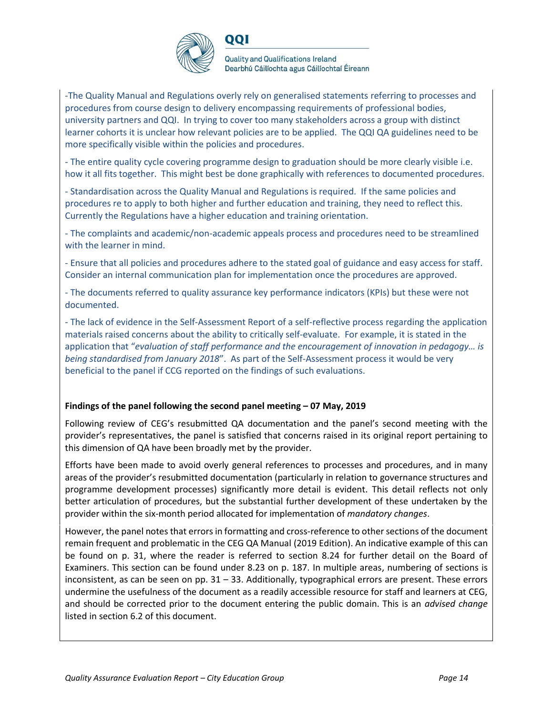

001

**Quality and Qualifications Ireland** Dearbhú Cáilíochta agus Cáilíochtaí Éireann

-The Quality Manual and Regulations overly rely on generalised statements referring to processes and procedures from course design to delivery encompassing requirements of professional bodies, university partners and QQI. In trying to cover too many stakeholders across a group with distinct learner cohorts it is unclear how relevant policies are to be applied. The QQI QA guidelines need to be more specifically visible within the policies and procedures.

- The entire quality cycle covering programme design to graduation should be more clearly visible i.e. how it all fits together. This might best be done graphically with references to documented procedures.

- Standardisation across the Quality Manual and Regulations is required. If the same policies and procedures re to apply to both higher and further education and training, they need to reflect this. Currently the Regulations have a higher education and training orientation.

- The complaints and academic/non-academic appeals process and procedures need to be streamlined with the learner in mind.

- Ensure that all policies and procedures adhere to the stated goal of guidance and easy access for staff. Consider an internal communication plan for implementation once the procedures are approved.

- The documents referred to quality assurance key performance indicators (KPIs) but these were not documented.

- The lack of evidence in the Self-Assessment Report of a self-reflective process regarding the application materials raised concerns about the ability to critically self-evaluate. For example, it is stated in the application that "*evaluation of staff performance and the encouragement of innovation in pedagogy… is being standardised from January 2018*". As part of the Self-Assessment process it would be very beneficial to the panel if CCG reported on the findings of such evaluations.

# **Findings of the panel following the second panel meeting – 07 May, 2019**

Following review of CEG's resubmitted QA documentation and the panel's second meeting with the provider's representatives, the panel is satisfied that concerns raised in its original report pertaining to this dimension of QA have been broadly met by the provider.

Efforts have been made to avoid overly general references to processes and procedures, and in many areas of the provider's resubmitted documentation (particularly in relation to governance structures and programme development processes) significantly more detail is evident. This detail reflects not only better articulation of procedures, but the substantial further development of these undertaken by the provider within the six-month period allocated for implementation of *mandatory changes*.

However, the panel notes that errors in formatting and cross-reference to other sections of the document remain frequent and problematic in the CEG QA Manual (2019 Edition). An indicative example of this can be found on p. 31, where the reader is referred to section 8.24 for further detail on the Board of Examiners. This section can be found under 8.23 on p. 187. In multiple areas, numbering of sections is inconsistent, as can be seen on pp. 31 – 33. Additionally, typographical errors are present. These errors undermine the usefulness of the document as a readily accessible resource for staff and learners at CEG, and should be corrected prior to the document entering the public domain. This is an *advised change* listed in section 6.2 of this document.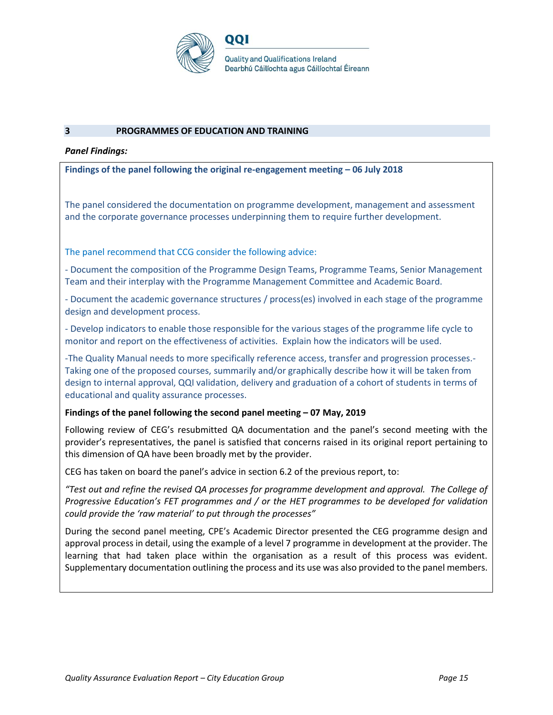

#### **3 PROGRAMMES OF EDUCATION AND TRAINING**

#### *Panel Findings:*

#### **Findings of the panel following the original re-engagement meeting – 06 July 2018**

The panel considered the documentation on programme development, management and assessment and the corporate governance processes underpinning them to require further development.

The panel recommend that CCG consider the following advice:

- Document the composition of the Programme Design Teams, Programme Teams, Senior Management Team and their interplay with the Programme Management Committee and Academic Board.

- Document the academic governance structures / process(es) involved in each stage of the programme design and development process.

- Develop indicators to enable those responsible for the various stages of the programme life cycle to monitor and report on the effectiveness of activities. Explain how the indicators will be used.

-The Quality Manual needs to more specifically reference access, transfer and progression processes.- Taking one of the proposed courses, summarily and/or graphically describe how it will be taken from design to internal approval, QQI validation, delivery and graduation of a cohort of students in terms of educational and quality assurance processes.

#### **Findings of the panel following the second panel meeting – 07 May, 2019**

Following review of CEG's resubmitted QA documentation and the panel's second meeting with the provider's representatives, the panel is satisfied that concerns raised in its original report pertaining to this dimension of QA have been broadly met by the provider.

CEG has taken on board the panel's advice in section 6.2 of the previous report, to:

*"Test out and refine the revised QA processes for programme development and approval. The College of Progressive Education's FET programmes and / or the HET programmes to be developed for validation could provide the 'raw material' to put through the processes"*

During the second panel meeting, CPE's Academic Director presented the CEG programme design and approval process in detail, using the example of a level 7 programme in development at the provider. The learning that had taken place within the organisation as a result of this process was evident. Supplementary documentation outlining the process and its use was also provided to the panel members.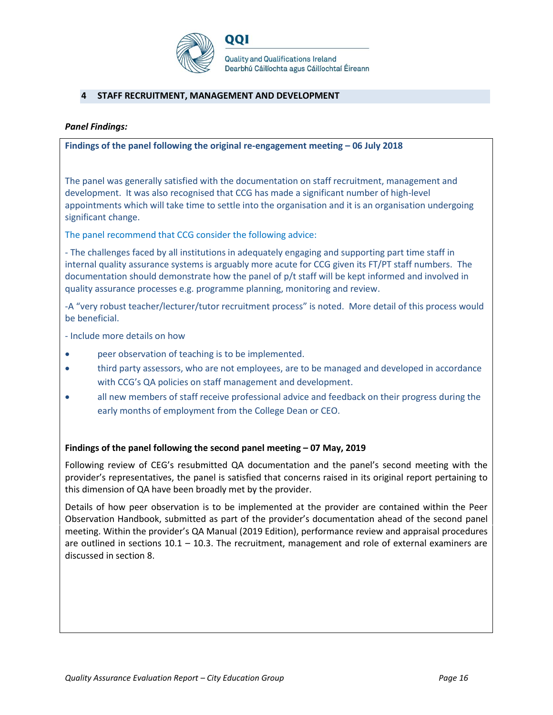

# **4 STAFF RECRUITMENT, MANAGEMENT AND DEVELOPMENT**

#### *Panel Findings:*

#### **Findings of the panel following the original re-engagement meeting – 06 July 2018**

The panel was generally satisfied with the documentation on staff recruitment, management and development. It was also recognised that CCG has made a significant number of high-level appointments which will take time to settle into the organisation and it is an organisation undergoing significant change.

The panel recommend that CCG consider the following advice:

- The challenges faced by all institutions in adequately engaging and supporting part time staff in internal quality assurance systems is arguably more acute for CCG given its FT/PT staff numbers. The documentation should demonstrate how the panel of p/t staff will be kept informed and involved in quality assurance processes e.g. programme planning, monitoring and review.

-A "very robust teacher/lecturer/tutor recruitment process" is noted. More detail of this process would be beneficial.

- Include more details on how

- peer observation of teaching is to be implemented.
- third party assessors, who are not employees, are to be managed and developed in accordance with CCG's QA policies on staff management and development.
- all new members of staff receive professional advice and feedback on their progress during the early months of employment from the College Dean or CEO.

#### **Findings of the panel following the second panel meeting – 07 May, 2019**

Following review of CEG's resubmitted QA documentation and the panel's second meeting with the provider's representatives, the panel is satisfied that concerns raised in its original report pertaining to this dimension of QA have been broadly met by the provider.

Details of how peer observation is to be implemented at the provider are contained within the Peer Observation Handbook, submitted as part of the provider's documentation ahead of the second panel meeting. Within the provider's QA Manual (2019 Edition), performance review and appraisal procedures are outlined in sections  $10.1 - 10.3$ . The recruitment, management and role of external examiners are discussed in section 8.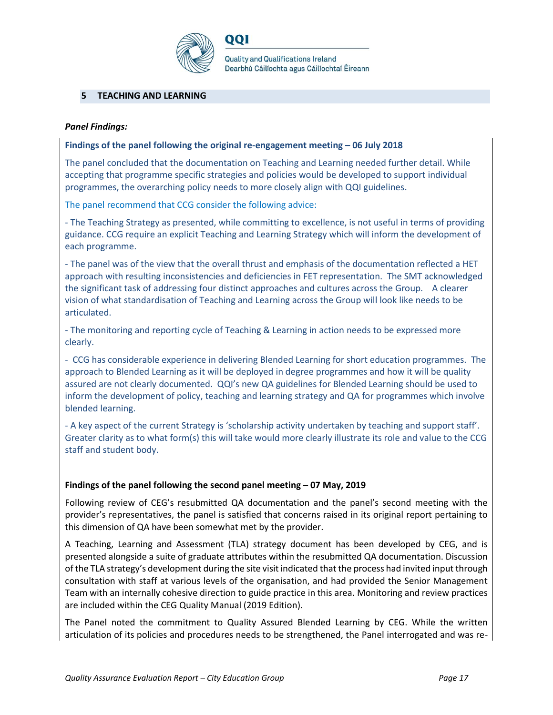

# **5 TEACHING AND LEARNING**

#### *Panel Findings:*

#### **Findings of the panel following the original re-engagement meeting – 06 July 2018**

001

The panel concluded that the documentation on Teaching and Learning needed further detail. While accepting that programme specific strategies and policies would be developed to support individual programmes, the overarching policy needs to more closely align with QQI guidelines.

The panel recommend that CCG consider the following advice:

- The Teaching Strategy as presented, while committing to excellence, is not useful in terms of providing guidance. CCG require an explicit Teaching and Learning Strategy which will inform the development of each programme.

- The panel was of the view that the overall thrust and emphasis of the documentation reflected a HET approach with resulting inconsistencies and deficiencies in FET representation. The SMT acknowledged the significant task of addressing four distinct approaches and cultures across the Group. A clearer vision of what standardisation of Teaching and Learning across the Group will look like needs to be articulated.

- The monitoring and reporting cycle of Teaching & Learning in action needs to be expressed more clearly.

- CCG has considerable experience in delivering Blended Learning for short education programmes. The approach to Blended Learning as it will be deployed in degree programmes and how it will be quality assured are not clearly documented. QQI's new QA guidelines for Blended Learning should be used to inform the development of policy, teaching and learning strategy and QA for programmes which involve blended learning.

- A key aspect of the current Strategy is 'scholarship activity undertaken by teaching and support staff'. Greater clarity as to what form(s) this will take would more clearly illustrate its role and value to the CCG staff and student body.

#### **Findings of the panel following the second panel meeting – 07 May, 2019**

Following review of CEG's resubmitted QA documentation and the panel's second meeting with the provider's representatives, the panel is satisfied that concerns raised in its original report pertaining to this dimension of QA have been somewhat met by the provider.

A Teaching, Learning and Assessment (TLA) strategy document has been developed by CEG, and is presented alongside a suite of graduate attributes within the resubmitted QA documentation. Discussion of the TLA strategy's development during the site visit indicated that the process had invited input through consultation with staff at various levels of the organisation, and had provided the Senior Management Team with an internally cohesive direction to guide practice in this area. Monitoring and review practices are included within the CEG Quality Manual (2019 Edition).

The Panel noted the commitment to Quality Assured Blended Learning by CEG. While the written articulation of its policies and procedures needs to be strengthened, the Panel interrogated and was re-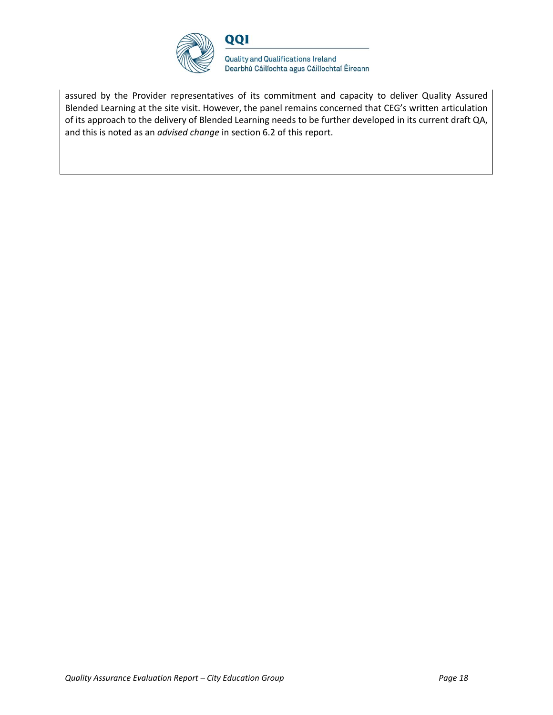

assured by the Provider representatives of its commitment and capacity to deliver Quality Assured Blended Learning at the site visit. However, the panel remains concerned that CEG's written articulation of its approach to the delivery of Blended Learning needs to be further developed in its current draft QA, and this is noted as an *advised change* in section 6.2 of this report.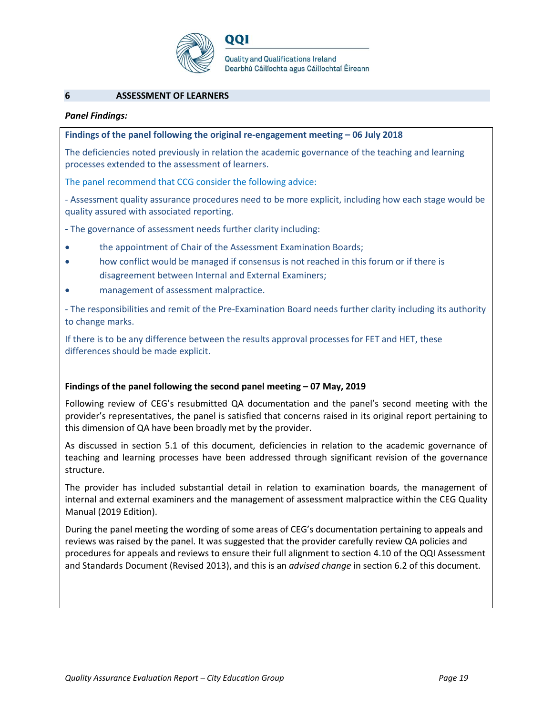

#### **6 ASSESSMENT OF LEARNERS**

#### *Panel Findings:*

#### **Findings of the panel following the original re-engagement meeting – 06 July 2018**

001

The deficiencies noted previously in relation the academic governance of the teaching and learning processes extended to the assessment of learners.

The panel recommend that CCG consider the following advice:

- Assessment quality assurance procedures need to be more explicit, including how each stage would be quality assured with associated reporting.

**-** The governance of assessment needs further clarity including:

- the appointment of Chair of the Assessment Examination Boards;
- how conflict would be managed if consensus is not reached in this forum or if there is disagreement between Internal and External Examiners;
- management of assessment malpractice.

- The responsibilities and remit of the Pre-Examination Board needs further clarity including its authority to change marks.

If there is to be any difference between the results approval processes for FET and HET, these differences should be made explicit.

# **Findings of the panel following the second panel meeting – 07 May, 2019**

Following review of CEG's resubmitted QA documentation and the panel's second meeting with the provider's representatives, the panel is satisfied that concerns raised in its original report pertaining to this dimension of QA have been broadly met by the provider.

As discussed in section 5.1 of this document, deficiencies in relation to the academic governance of teaching and learning processes have been addressed through significant revision of the governance structure.

The provider has included substantial detail in relation to examination boards, the management of internal and external examiners and the management of assessment malpractice within the CEG Quality Manual (2019 Edition).

During the panel meeting the wording of some areas of CEG's documentation pertaining to appeals and reviews was raised by the panel. It was suggested that the provider carefully review QA policies and procedures for appeals and reviews to ensure their full alignment to section 4.10 of the QQI Assessment and Standards Document (Revised 2013), and this is an *advised change* in section 6.2 of this document.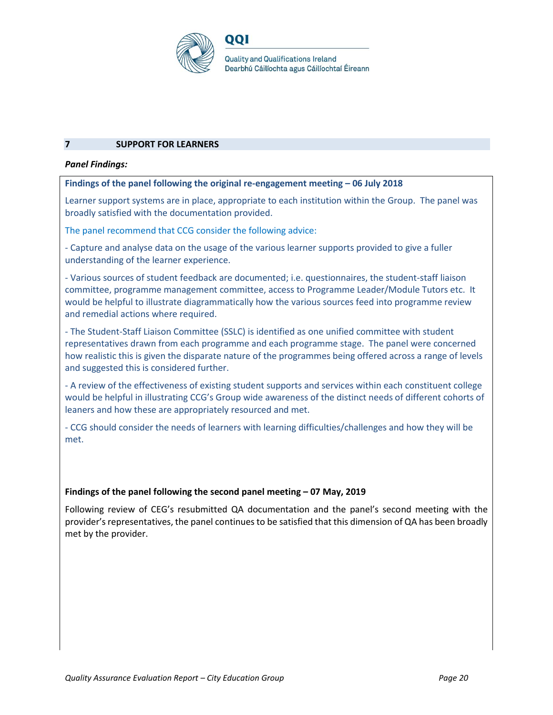

# **7 SUPPORT FOR LEARNERS**

#### *Panel Findings:*

#### **Findings of the panel following the original re-engagement meeting – 06 July 2018**

Learner support systems are in place, appropriate to each institution within the Group. The panel was broadly satisfied with the documentation provided.

The panel recommend that CCG consider the following advice:

- Capture and analyse data on the usage of the various learner supports provided to give a fuller understanding of the learner experience.

- Various sources of student feedback are documented; i.e. questionnaires, the student-staff liaison committee, programme management committee, access to Programme Leader/Module Tutors etc. It would be helpful to illustrate diagrammatically how the various sources feed into programme review and remedial actions where required.

- The Student-Staff Liaison Committee (SSLC) is identified as one unified committee with student representatives drawn from each programme and each programme stage. The panel were concerned how realistic this is given the disparate nature of the programmes being offered across a range of levels and suggested this is considered further.

- A review of the effectiveness of existing student supports and services within each constituent college would be helpful in illustrating CCG's Group wide awareness of the distinct needs of different cohorts of leaners and how these are appropriately resourced and met.

- CCG should consider the needs of learners with learning difficulties/challenges and how they will be met.

#### **Findings of the panel following the second panel meeting – 07 May, 2019**

Following review of CEG's resubmitted QA documentation and the panel's second meeting with the provider's representatives, the panel continues to be satisfied that this dimension of QA has been broadly met by the provider.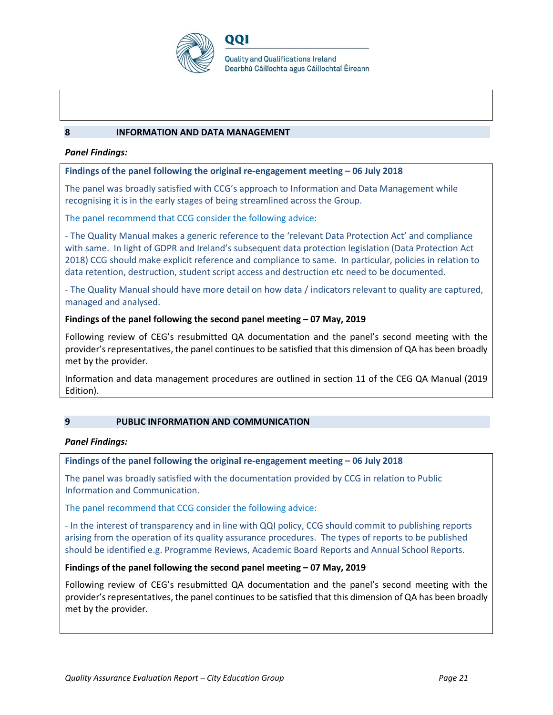

#### **8 INFORMATION AND DATA MANAGEMENT**

#### *Panel Findings:*

#### **Findings of the panel following the original re-engagement meeting – 06 July 2018**

001

The panel was broadly satisfied with CCG's approach to Information and Data Management while recognising it is in the early stages of being streamlined across the Group.

The panel recommend that CCG consider the following advice:

- The Quality Manual makes a generic reference to the 'relevant Data Protection Act' and compliance with same. In light of GDPR and Ireland's subsequent data protection legislation (Data Protection Act 2018) CCG should make explicit reference and compliance to same. In particular, policies in relation to data retention, destruction, student script access and destruction etc need to be documented.

- The Quality Manual should have more detail on how data / indicators relevant to quality are captured, managed and analysed.

#### **Findings of the panel following the second panel meeting – 07 May, 2019**

Following review of CEG's resubmitted QA documentation and the panel's second meeting with the provider's representatives, the panel continues to be satisfied that this dimension of QA has been broadly met by the provider.

Information and data management procedures are outlined in section 11 of the CEG QA Manual (2019 Edition).

# **9 PUBLIC INFORMATION AND COMMUNICATION**

#### *Panel Findings:*

#### **Findings of the panel following the original re-engagement meeting – 06 July 2018**

The panel was broadly satisfied with the documentation provided by CCG in relation to Public Information and Communication.

The panel recommend that CCG consider the following advice:

- In the interest of transparency and in line with QQI policy, CCG should commit to publishing reports arising from the operation of its quality assurance procedures. The types of reports to be published should be identified e.g. Programme Reviews, Academic Board Reports and Annual School Reports.

#### **Findings of the panel following the second panel meeting – 07 May, 2019**

Following review of CEG's resubmitted QA documentation and the panel's second meeting with the provider's representatives, the panel continues to be satisfied that this dimension of QA has been broadly met by the provider.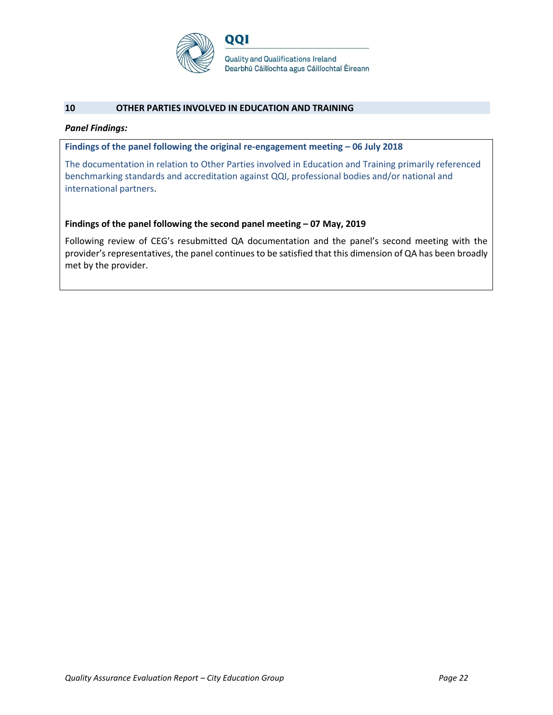

#### **10 OTHER PARTIES INVOLVED IN EDUCATION AND TRAINING**

#### *Panel Findings:*

**Findings of the panel following the original re-engagement meeting – 06 July 2018**

The documentation in relation to Other Parties involved in Education and Training primarily referenced benchmarking standards and accreditation against QQI, professional bodies and/or national and international partners.

#### **Findings of the panel following the second panel meeting – 07 May, 2019**

Following review of CEG's resubmitted QA documentation and the panel's second meeting with the provider's representatives, the panel continues to be satisfied that this dimension of QA has been broadly met by the provider.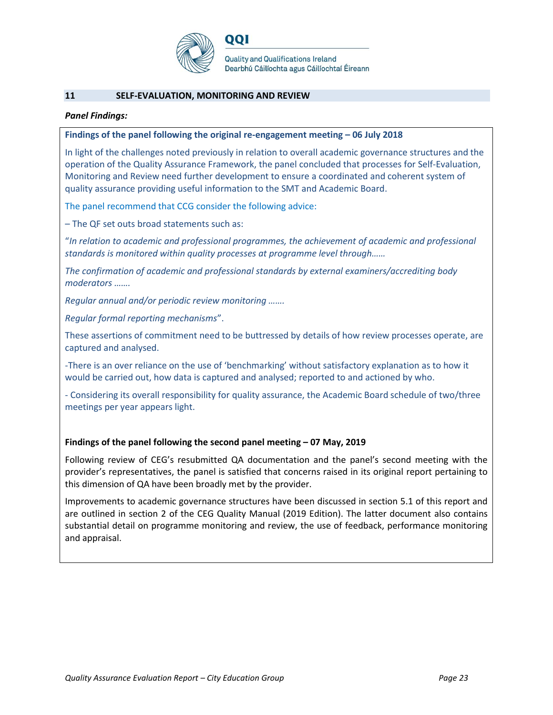

#### **11 SELF-EVALUATION, MONITORING AND REVIEW**

#### *Panel Findings:*

#### **Findings of the panel following the original re-engagement meeting – 06 July 2018**

001

In light of the challenges noted previously in relation to overall academic governance structures and the operation of the Quality Assurance Framework, the panel concluded that processes for Self-Evaluation, Monitoring and Review need further development to ensure a coordinated and coherent system of quality assurance providing useful information to the SMT and Academic Board.

The panel recommend that CCG consider the following advice:

– The QF set outs broad statements such as:

"*In relation to academic and professional programmes, the achievement of academic and professional standards is monitored within quality processes at programme level through……*

*The confirmation of academic and professional standards by external examiners/accrediting body moderators …….* 

*Regular annual and/or periodic review monitoring …….* 

*Regular formal reporting mechanisms*".

These assertions of commitment need to be buttressed by details of how review processes operate, are captured and analysed.

-There is an over reliance on the use of 'benchmarking' without satisfactory explanation as to how it would be carried out, how data is captured and analysed; reported to and actioned by who.

- Considering its overall responsibility for quality assurance, the Academic Board schedule of two/three meetings per year appears light.

# **Findings of the panel following the second panel meeting – 07 May, 2019**

Following review of CEG's resubmitted QA documentation and the panel's second meeting with the provider's representatives, the panel is satisfied that concerns raised in its original report pertaining to this dimension of QA have been broadly met by the provider.

Improvements to academic governance structures have been discussed in section 5.1 of this report and are outlined in section 2 of the CEG Quality Manual (2019 Edition). The latter document also contains substantial detail on programme monitoring and review, the use of feedback, performance monitoring and appraisal.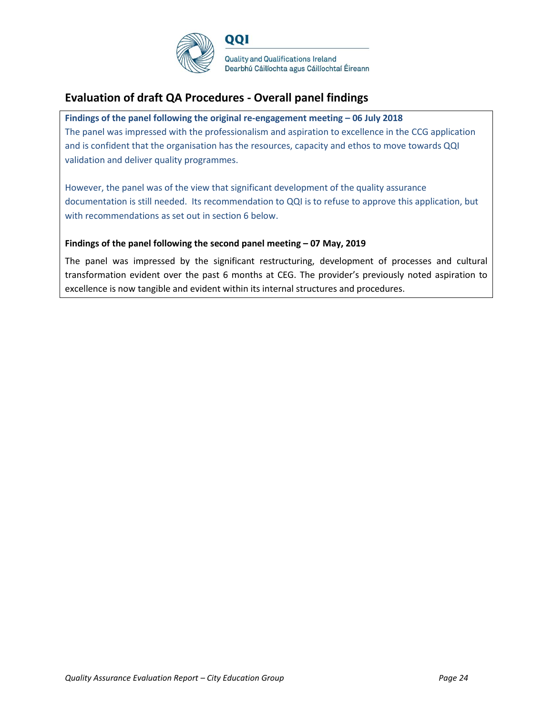

# **Evaluation of draft QA Procedures - Overall panel findings**

#### **Findings of the panel following the original re-engagement meeting – 06 July 2018**

QQI

The panel was impressed with the professionalism and aspiration to excellence in the CCG application and is confident that the organisation has the resources, capacity and ethos to move towards QQI validation and deliver quality programmes.

However, the panel was of the view that significant development of the quality assurance documentation is still needed. Its recommendation to QQI is to refuse to approve this application, but with recommendations as set out in section 6 below.

#### **Findings of the panel following the second panel meeting – 07 May, 2019**

The panel was impressed by the significant restructuring, development of processes and cultural transformation evident over the past 6 months at CEG. The provider's previously noted aspiration to excellence is now tangible and evident within its internal structures and procedures.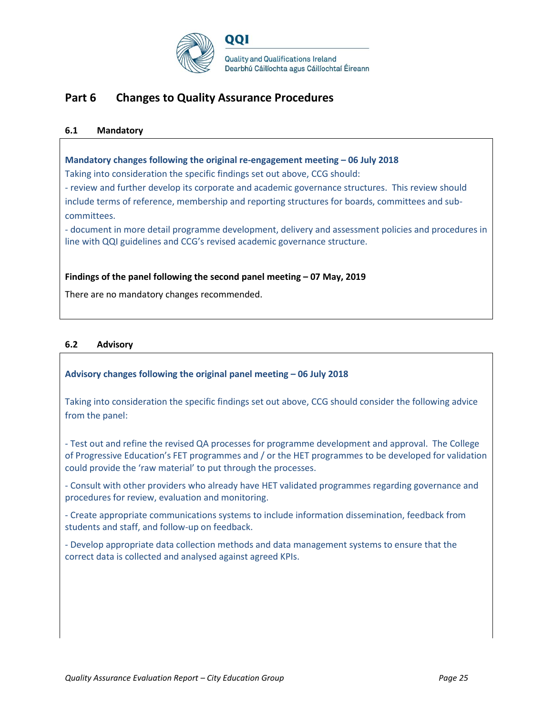

# **Part 6 Changes to Quality Assurance Procedures**

### **6.1 Mandatory**

#### **Mandatory changes following the original re-engagement meeting – 06 July 2018**

Taking into consideration the specific findings set out above, CCG should:

- review and further develop its corporate and academic governance structures. This review should include terms of reference, membership and reporting structures for boards, committees and subcommittees.

- document in more detail programme development, delivery and assessment policies and procedures in line with QQI guidelines and CCG's revised academic governance structure.

#### **Findings of the panel following the second panel meeting – 07 May, 2019**

There are no mandatory changes recommended.

# **6.2 Advisory**

# **Advisory changes following the original panel meeting – 06 July 2018**

Taking into consideration the specific findings set out above, CCG should consider the following advice from the panel:

- Test out and refine the revised QA processes for programme development and approval. The College of Progressive Education's FET programmes and / or the HET programmes to be developed for validation could provide the 'raw material' to put through the processes.

- Consult with other providers who already have HET validated programmes regarding governance and procedures for review, evaluation and monitoring.

- Create appropriate communications systems to include information dissemination, feedback from students and staff, and follow-up on feedback.

- Develop appropriate data collection methods and data management systems to ensure that the correct data is collected and analysed against agreed KPIs.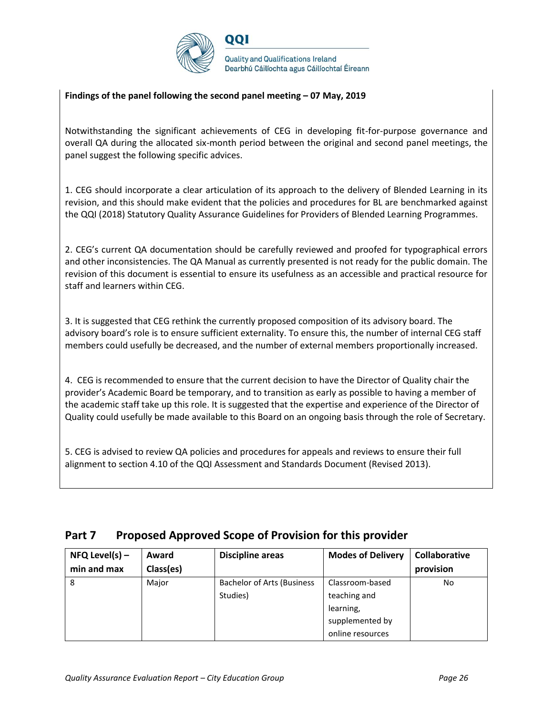

### **Findings of the panel following the second panel meeting – 07 May, 2019**

Notwithstanding the significant achievements of CEG in developing fit-for-purpose governance and overall QA during the allocated six-month period between the original and second panel meetings, the panel suggest the following specific advices.

1. CEG should incorporate a clear articulation of its approach to the delivery of Blended Learning in its revision, and this should make evident that the policies and procedures for BL are benchmarked against the QQI (2018) Statutory Quality Assurance Guidelines for Providers of Blended Learning Programmes.

2. CEG's current QA documentation should be carefully reviewed and proofed for typographical errors and other inconsistencies. The QA Manual as currently presented is not ready for the public domain. The revision of this document is essential to ensure its usefulness as an accessible and practical resource for staff and learners within CEG.

3. It is suggested that CEG rethink the currently proposed composition of its advisory board. The advisory board's role is to ensure sufficient externality. To ensure this, the number of internal CEG staff members could usefully be decreased, and the number of external members proportionally increased.

4. CEG is recommended to ensure that the current decision to have the Director of Quality chair the provider's Academic Board be temporary, and to transition as early as possible to having a member of the academic staff take up this role. It is suggested that the expertise and experience of the Director of Quality could usefully be made available to this Board on an ongoing basis through the role of Secretary.

5. CEG is advised to review QA policies and procedures for appeals and reviews to ensure their full alignment to section 4.10 of the QQI Assessment and Standards Document (Revised 2013).

| Part 7 | <b>Proposed Approved Scope of Provision for this provider</b> |
|--------|---------------------------------------------------------------|
|--------|---------------------------------------------------------------|

| $NFQ$ Level(s) – | Award     | <b>Discipline areas</b>           | <b>Modes of Delivery</b> | Collaborative |
|------------------|-----------|-----------------------------------|--------------------------|---------------|
| min and max      | Class(es) |                                   |                          | provision     |
| 8                | Major     | <b>Bachelor of Arts (Business</b> | Classroom-based          | No            |
|                  |           | Studies)                          | teaching and             |               |
|                  |           |                                   | learning,                |               |
|                  |           |                                   | supplemented by          |               |
|                  |           |                                   | online resources         |               |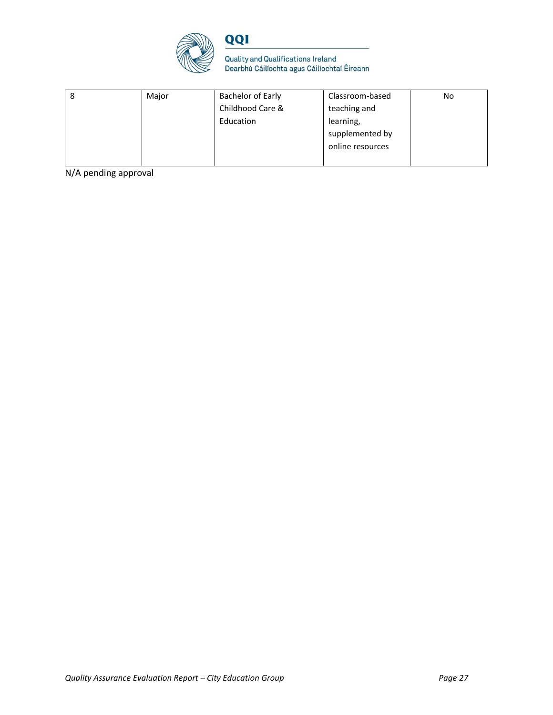



| 8 | Major | <b>Bachelor of Early</b> | Classroom-based  | No |
|---|-------|--------------------------|------------------|----|
|   |       | Childhood Care &         | teaching and     |    |
|   |       | Education                | learning,        |    |
|   |       |                          | supplemented by  |    |
|   |       |                          | online resources |    |
|   |       |                          |                  |    |

N/A pending approval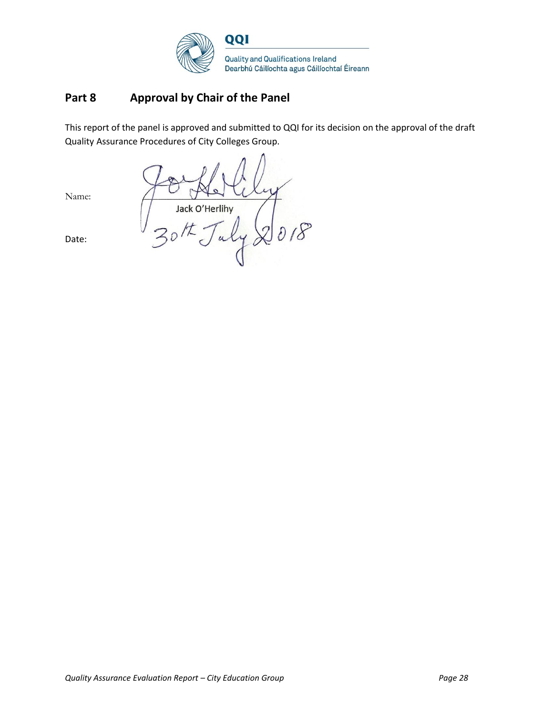

# **Part 8 Approval by Chair of the Panel**

This report of the panel is approved and submitted to QQI for its decision on the approval of the draft Quality Assurance Procedures of City Colleges Group.

Jack O'Herlihy 018

Name:

Date: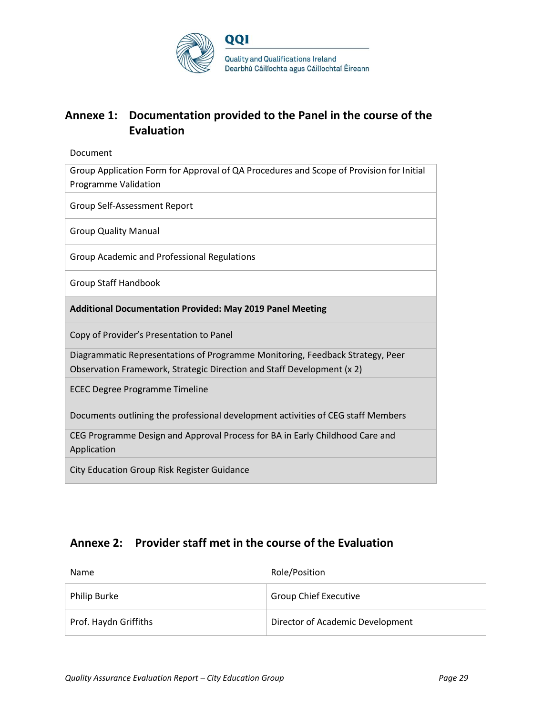

# **Annexe 1: Documentation provided to the Panel in the course of the Evaluation**

Document

Group Application Form for Approval of QA Procedures and Scope of Provision for Initial Programme Validation

Group Self-Assessment Report

Group Quality Manual

Group Academic and Professional Regulations

Group Staff Handbook

**Additional Documentation Provided: May 2019 Panel Meeting**

Copy of Provider's Presentation to Panel

Diagrammatic Representations of Programme Monitoring, Feedback Strategy, Peer Observation Framework, Strategic Direction and Staff Development (x 2)

ECEC Degree Programme Timeline

Documents outlining the professional development activities of CEG staff Members

CEG Programme Design and Approval Process for BA in Early Childhood Care and Application

City Education Group Risk Register Guidance

# **Annexe 2: Provider staff met in the course of the Evaluation**

| Name                  | Role/Position                    |
|-----------------------|----------------------------------|
| <b>Philip Burke</b>   | <b>Group Chief Executive</b>     |
| Prof. Haydn Griffiths | Director of Academic Development |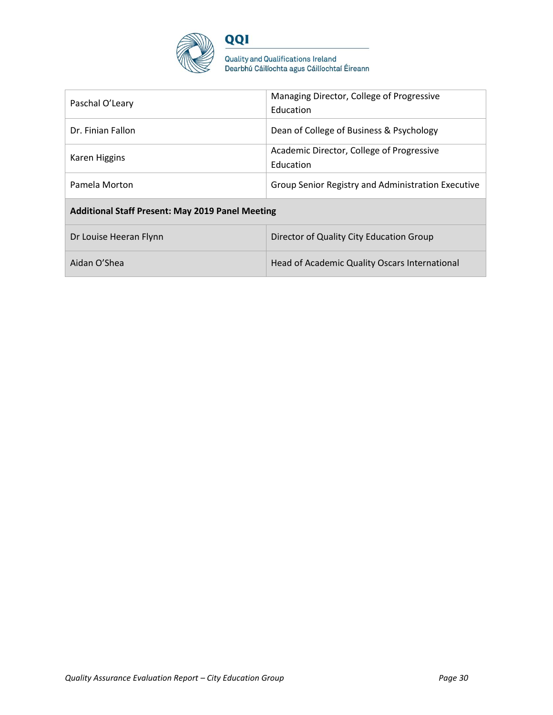

QQI

Quality and Qualifications Ireland<br>Dearbhú Cáilíochta agus Cáilíochtaí Éireann

| Paschal O'Leary                                         | Managing Director, College of Progressive<br>Education |  |
|---------------------------------------------------------|--------------------------------------------------------|--|
| Dr. Finian Fallon                                       | Dean of College of Business & Psychology               |  |
| Karen Higgins                                           | Academic Director, College of Progressive<br>Education |  |
| Pamela Morton                                           | Group Senior Registry and Administration Executive     |  |
| <b>Additional Staff Present: May 2019 Panel Meeting</b> |                                                        |  |
| Dr Louise Heeran Flynn                                  | Director of Quality City Education Group               |  |
| Aidan O'Shea                                            | Head of Academic Quality Oscars International          |  |